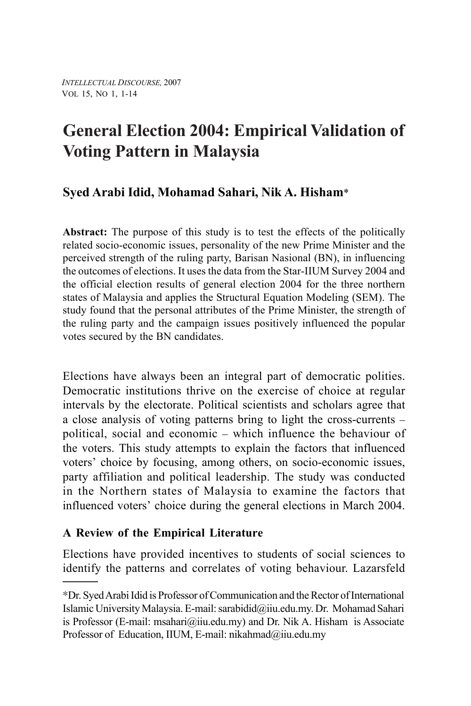# **General Election 2004: Empirical Validation of Voting Pattern in Malaysia**

# **Syed Arabi Idid, Mohamad Sahari, Nik A. Hisham**\*

**Abstract:** The purpose of this study is to test the effects of the politically related socio-economic issues, personality of the new Prime Minister and the perceived strength of the ruling party, Barisan Nasional (BN), in influencing the outcomes of elections. It uses the data from the Star-IIUM Survey 2004 and the official election results of general election 2004 for the three northern states of Malaysia and applies the Structural Equation Modeling (SEM). The study found that the personal attributes of the Prime Minister, the strength of the ruling party and the campaign issues positively influenced the popular votes secured by the BN candidates.

Elections have always been an integral part of democratic polities. Democratic institutions thrive on the exercise of choice at regular intervals by the electorate. Political scientists and scholars agree that a close analysis of voting patterns bring to light the cross-currents – political, social and economic – which influence the behaviour of the voters. This study attempts to explain the factors that influenced voters' choice by focusing, among others, on socio-economic issues, party affiliation and political leadership. The study was conducted in the Northern states of Malaysia to examine the factors that influenced voters' choice during the general elections in March 2004.

## **A Review of the Empirical Literature**

Elections have provided incentives to students of social sciences to identify the patterns and correlates of voting behaviour. Lazarsfeld

<sup>∗</sup>Dr. Syed Arabi Idid is Professor of Communication and the Rector of International Islamic University Malaysia. E-mail: sarabidid@iiu.edu.my. Dr. Mohamad Sahari is Professor (E-mail: msahari@iiu.edu.my) and Dr. Nik A. Hisham is Associate Professor of Education, IIUM, E-mail: nikahmad@iiu.edu.my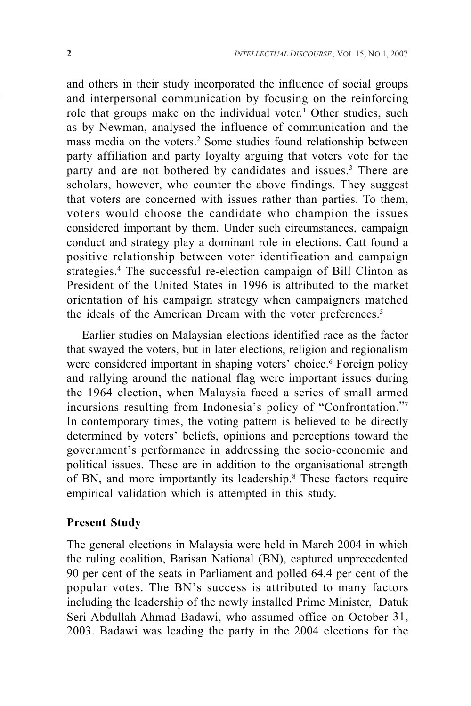and others in their study incorporated the influence of social groups and interpersonal communication by focusing on the reinforcing role that groups make on the individual voter.<sup>1</sup> Other studies, such as by Newman, analysed the influence of communication and the mass media on the voters.<sup>2</sup> Some studies found relationship between party affiliation and party loyalty arguing that voters vote for the party and are not bothered by candidates and issues.<sup>3</sup> There are scholars, however, who counter the above findings. They suggest that voters are concerned with issues rather than parties. To them, voters would choose the candidate who champion the issues considered important by them. Under such circumstances, campaign conduct and strategy play a dominant role in elections. Catt found a positive relationship between voter identification and campaign strategies.4 The successful re-election campaign of Bill Clinton as President of the United States in 1996 is attributed to the market orientation of his campaign strategy when campaigners matched the ideals of the American Dream with the voter preferences.<sup>5</sup>

Earlier studies on Malaysian elections identified race as the factor that swayed the voters, but in later elections, religion and regionalism were considered important in shaping voters' choice.<sup>6</sup> Foreign policy and rallying around the national flag were important issues during the 1964 election, when Malaysia faced a series of small armed incursions resulting from Indonesia's policy of "Confrontation."7 In contemporary times, the voting pattern is believed to be directly determined by voters' beliefs, opinions and perceptions toward the government's performance in addressing the socio-economic and political issues. These are in addition to the organisational strength of BN, and more importantly its leadership.<sup>8</sup> These factors require empirical validation which is attempted in this study.

#### **Present Study**

The general elections in Malaysia were held in March 2004 in which the ruling coalition, Barisan National (BN), captured unprecedented 90 per cent of the seats in Parliament and polled 64.4 per cent of the popular votes. The BN's success is attributed to many factors including the leadership of the newly installed Prime Minister, Datuk Seri Abdullah Ahmad Badawi, who assumed office on October 31, 2003. Badawi was leading the party in the 2004 elections for the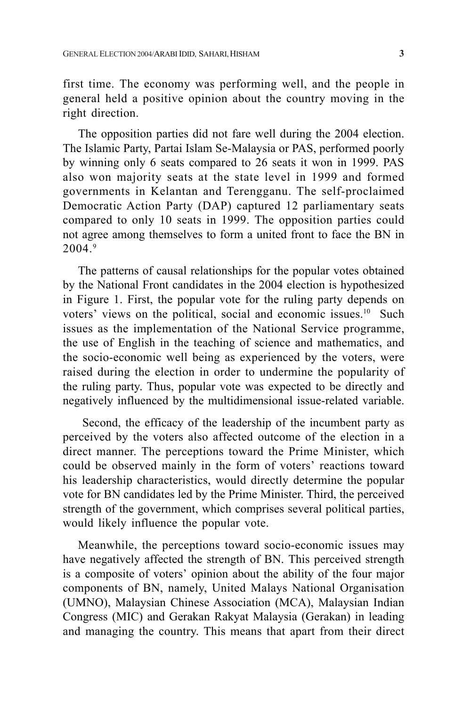first time. The economy was performing well, and the people in general held a positive opinion about the country moving in the right direction.

The opposition parties did not fare well during the 2004 election. The Islamic Party, Partai Islam Se-Malaysia or PAS, performed poorly by winning only 6 seats compared to 26 seats it won in 1999. PAS also won majority seats at the state level in 1999 and formed governments in Kelantan and Terengganu. The self-proclaimed Democratic Action Party (DAP) captured 12 parliamentary seats compared to only 10 seats in 1999. The opposition parties could not agree among themselves to form a united front to face the BN in  $2004<sup>9</sup>$ 

The patterns of causal relationships for the popular votes obtained by the National Front candidates in the 2004 election is hypothesized in Figure 1. First, the popular vote for the ruling party depends on voters' views on the political, social and economic issues.<sup>10</sup> Such issues as the implementation of the National Service programme, the use of English in the teaching of science and mathematics, and the socio-economic well being as experienced by the voters, were raised during the election in order to undermine the popularity of the ruling party. Thus, popular vote was expected to be directly and negatively influenced by the multidimensional issue-related variable.

 Second, the efficacy of the leadership of the incumbent party as perceived by the voters also affected outcome of the election in a direct manner. The perceptions toward the Prime Minister, which could be observed mainly in the form of voters' reactions toward his leadership characteristics, would directly determine the popular vote for BN candidates led by the Prime Minister. Third, the perceived strength of the government, which comprises several political parties, would likely influence the popular vote.

Meanwhile, the perceptions toward socio-economic issues may have negatively affected the strength of BN. This perceived strength is a composite of voters' opinion about the ability of the four major components of BN, namely, United Malays National Organisation (UMNO), Malaysian Chinese Association (MCA), Malaysian Indian Congress (MIC) and Gerakan Rakyat Malaysia (Gerakan) in leading and managing the country. This means that apart from their direct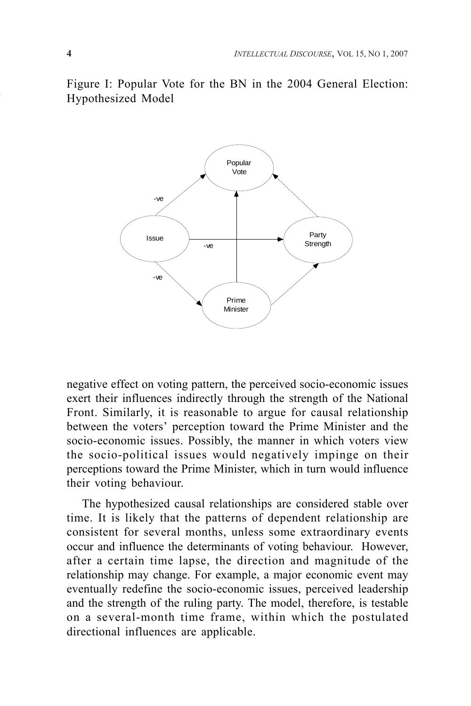Figure I: Popular Vote for the BN in the 2004 General Election: Hypothesized Model



negative effect on voting pattern, the perceived socio-economic issues exert their influences indirectly through the strength of the National Front. Similarly, it is reasonable to argue for causal relationship between the voters' perception toward the Prime Minister and the socio-economic issues. Possibly, the manner in which voters view the socio-political issues would negatively impinge on their perceptions toward the Prime Minister, which in turn would influence their voting behaviour.

The hypothesized causal relationships are considered stable over time. It is likely that the patterns of dependent relationship are consistent for several months, unless some extraordinary events occur and influence the determinants of voting behaviour. However, after a certain time lapse, the direction and magnitude of the relationship may change. For example, a major economic event may eventually redefine the socio-economic issues, perceived leadership and the strength of the ruling party. The model, therefore, is testable on a several-month time frame, within which the postulated directional influences are applicable.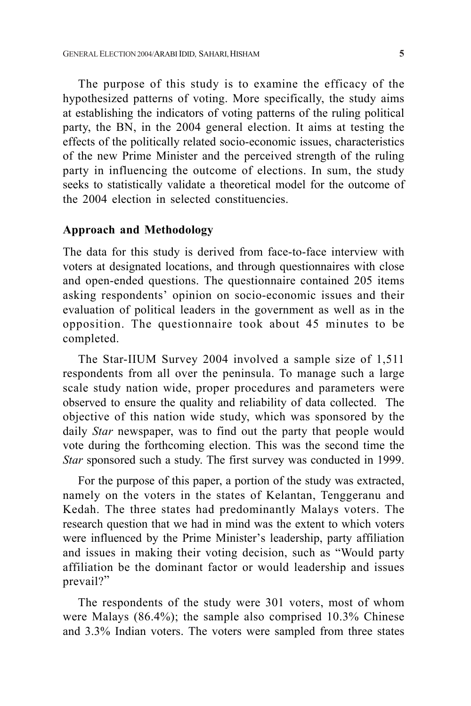The purpose of this study is to examine the efficacy of the hypothesized patterns of voting. More specifically, the study aims at establishing the indicators of voting patterns of the ruling political party, the BN, in the 2004 general election. It aims at testing the effects of the politically related socio-economic issues, characteristics of the new Prime Minister and the perceived strength of the ruling party in influencing the outcome of elections. In sum, the study seeks to statistically validate a theoretical model for the outcome of the 2004 election in selected constituencies.

#### **Approach and Methodology**

The data for this study is derived from face-to-face interview with voters at designated locations, and through questionnaires with close and open-ended questions. The questionnaire contained 205 items asking respondents' opinion on socio-economic issues and their evaluation of political leaders in the government as well as in the opposition. The questionnaire took about 45 minutes to be completed.

The Star-IIUM Survey 2004 involved a sample size of 1,511 respondents from all over the peninsula. To manage such a large scale study nation wide, proper procedures and parameters were observed to ensure the quality and reliability of data collected. The objective of this nation wide study, which was sponsored by the daily *Star* newspaper, was to find out the party that people would vote during the forthcoming election. This was the second time the *Star* sponsored such a study. The first survey was conducted in 1999.

For the purpose of this paper, a portion of the study was extracted, namely on the voters in the states of Kelantan, Tenggeranu and Kedah. The three states had predominantly Malays voters. The research question that we had in mind was the extent to which voters were influenced by the Prime Minister's leadership, party affiliation and issues in making their voting decision, such as "Would party affiliation be the dominant factor or would leadership and issues prevail?"

The respondents of the study were 301 voters, most of whom were Malays (86.4%); the sample also comprised 10.3% Chinese and 3.3% Indian voters. The voters were sampled from three states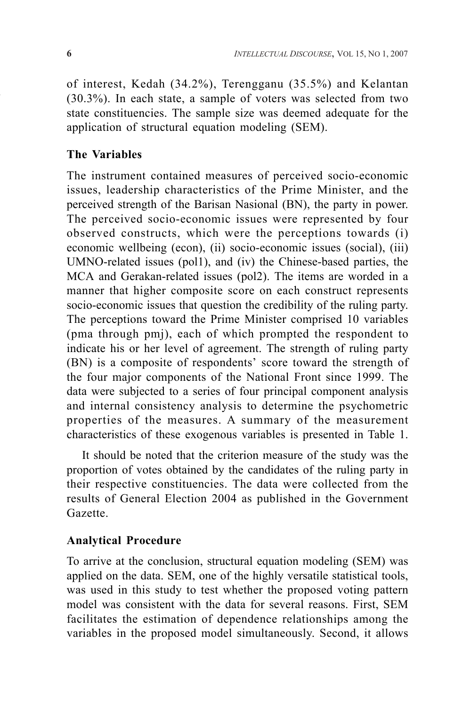of interest, Kedah (34.2%), Terengganu (35.5%) and Kelantan (30.3%). In each state, a sample of voters was selected from two state constituencies. The sample size was deemed adequate for the application of structural equation modeling (SEM).

## **The Variables**

The instrument contained measures of perceived socio-economic issues, leadership characteristics of the Prime Minister, and the perceived strength of the Barisan Nasional (BN), the party in power. The perceived socio-economic issues were represented by four observed constructs, which were the perceptions towards (i) economic wellbeing (econ), (ii) socio-economic issues (social), (iii) UMNO-related issues (pol1), and (iv) the Chinese-based parties, the MCA and Gerakan-related issues (pol2). The items are worded in a manner that higher composite score on each construct represents socio-economic issues that question the credibility of the ruling party. The perceptions toward the Prime Minister comprised 10 variables (pma through pmj), each of which prompted the respondent to indicate his or her level of agreement. The strength of ruling party (BN) is a composite of respondents' score toward the strength of the four major components of the National Front since 1999. The data were subjected to a series of four principal component analysis and internal consistency analysis to determine the psychometric properties of the measures. A summary of the measurement characteristics of these exogenous variables is presented in Table 1.

It should be noted that the criterion measure of the study was the proportion of votes obtained by the candidates of the ruling party in their respective constituencies. The data were collected from the results of General Election 2004 as published in the Government Gazette.

## **Analytical Procedure**

To arrive at the conclusion, structural equation modeling (SEM) was applied on the data. SEM, one of the highly versatile statistical tools, was used in this study to test whether the proposed voting pattern model was consistent with the data for several reasons. First, SEM facilitates the estimation of dependence relationships among the variables in the proposed model simultaneously. Second, it allows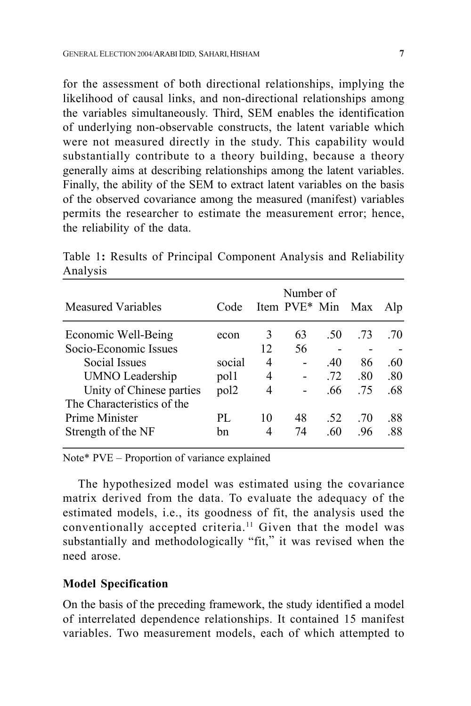for the assessment of both directional relationships, implying the likelihood of causal links, and non-directional relationships among the variables simultaneously. Third, SEM enables the identification of underlying non-observable constructs, the latent variable which were not measured directly in the study. This capability would substantially contribute to a theory building, because a theory generally aims at describing relationships among the latent variables. Finally, the ability of the SEM to extract latent variables on the basis of the observed covariance among the measured (manifest) variables permits the researcher to estimate the measurement error; hence, the reliability of the data.

| <b>Measured Variables</b>  | Code             |    | Number of<br>Item PVE* Min |     | Max | Alp |
|----------------------------|------------------|----|----------------------------|-----|-----|-----|
| Economic Well-Being        | econ             | 3  | 63                         | .50 | .73 | .70 |
| Socio-Economic Issues      |                  | 12 | 56                         |     |     |     |
| Social Issues              | social           | 4  | $\blacksquare$             | .40 | 86  | .60 |
| <b>UMNO</b> Leadership     | pol1             | 4  |                            | .72 | .80 | .80 |
| Unity of Chinese parties   | pol <sub>2</sub> | 4  |                            | .66 | .75 | .68 |
| The Characteristics of the |                  |    |                            |     |     |     |
| Prime Minister             | PL.              | 10 | 48                         | .52 | .70 | .88 |
| Strength of the NF         | bn               | 4  | 74                         | .60 | .96 | .88 |

Table 1**:** Results of Principal Component Analysis and Reliability Analysis

Note\* PVE – Proportion of variance explained

The hypothesized model was estimated using the covariance matrix derived from the data. To evaluate the adequacy of the estimated models, i.e., its goodness of fit, the analysis used the conventionally accepted criteria.<sup>11</sup> Given that the model was substantially and methodologically "fit," it was revised when the need arose.

#### **Model Specification**

On the basis of the preceding framework, the study identified a model of interrelated dependence relationships. It contained 15 manifest variables. Two measurement models, each of which attempted to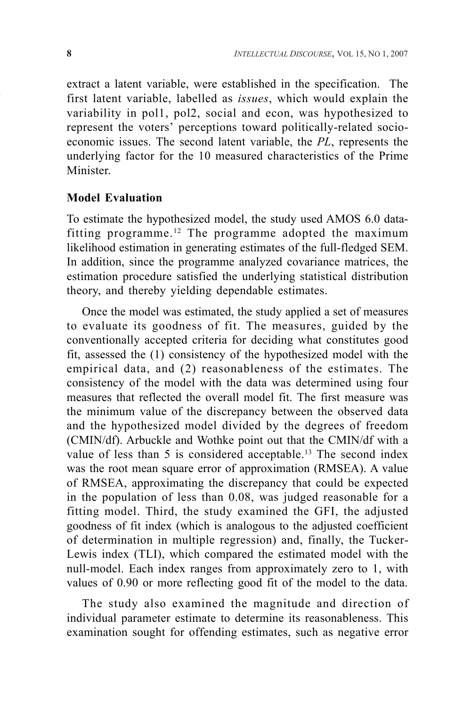extract a latent variable, were established in the specification. The first latent variable, labelled as *issues*, which would explain the variability in pol1, pol2, social and econ, was hypothesized to represent the voters' perceptions toward politically-related socioeconomic issues. The second latent variable, the *PL*, represents the underlying factor for the 10 measured characteristics of the Prime Minister.

#### **Model Evaluation**

To estimate the hypothesized model, the study used AMOS 6.0 datafitting programme.12 The programme adopted the maximum likelihood estimation in generating estimates of the full-fledged SEM. In addition, since the programme analyzed covariance matrices, the estimation procedure satisfied the underlying statistical distribution theory, and thereby yielding dependable estimates.

Once the model was estimated, the study applied a set of measures to evaluate its goodness of fit. The measures, guided by the conventionally accepted criteria for deciding what constitutes good fit, assessed the (1) consistency of the hypothesized model with the empirical data, and (2) reasonableness of the estimates. The consistency of the model with the data was determined using four measures that reflected the overall model fit. The first measure was the minimum value of the discrepancy between the observed data and the hypothesized model divided by the degrees of freedom (CMIN/df). Arbuckle and Wothke point out that the CMIN/df with a value of less than 5 is considered acceptable.<sup>13</sup> The second index was the root mean square error of approximation (RMSEA). A value of RMSEA, approximating the discrepancy that could be expected in the population of less than 0.08, was judged reasonable for a fitting model. Third, the study examined the GFI, the adjusted goodness of fit index (which is analogous to the adjusted coefficient of determination in multiple regression) and, finally, the Tucker-Lewis index (TLI), which compared the estimated model with the null-model. Each index ranges from approximately zero to 1, with values of 0.90 or more reflecting good fit of the model to the data.

The study also examined the magnitude and direction of individual parameter estimate to determine its reasonableness. This examination sought for offending estimates, such as negative error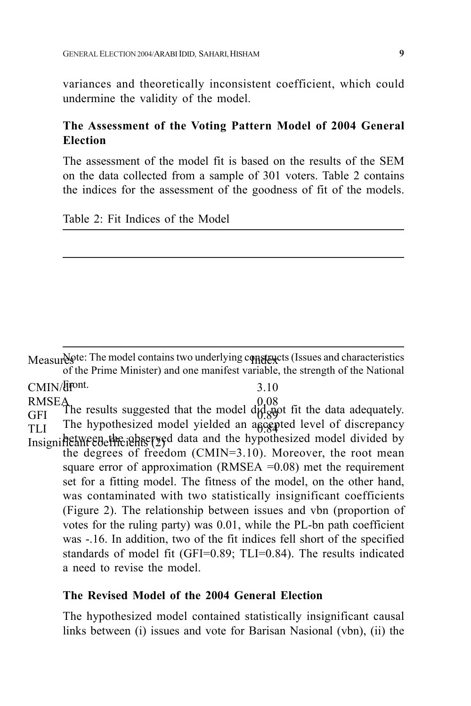variances and theoretically inconsistent coefficient, which could undermine the validity of the model.

### **The Assessment of the Voting Pattern Model of 2004 General Election**

The assessment of the model fit is based on the results of the SEM on the data collected from a sample of 301 voters. Table 2 contains the indices for the assessment of the goodness of fit of the models.

Table 2: Fit Indices of the Model

Measur&ote: The model contains two underlying comparistics (Issues and characteristics of the Prime Minister) and one manifest variable, the strength of the National  $CMIN/$  depends  $3.10$ RMSEA<br>CEI The results suggested that the model d<sub>id c</sub>apt fit the data adequately. The hypothesized model yielded an ascepted level of discrepancy hetween the observed data and the hypothesized model divided by the degrees of freedom (CMIN=3.10). Moreover, the root mean square error of approximation (RMSEA  $=0.08$ ) met the requirement set for a fitting model. The fitness of the model, on the other hand, was contaminated with two statistically insignificant coefficients (Figure 2). The relationship between issues and vbn (proportion of votes for the ruling party) was 0.01, while the PL-bn path coefficient was -.16. In addition, two of the fit indices fell short of the specified standards of model fit (GFI=0.89; TLI=0.84). The results indicated a need to revise the model.  $GFI$  The results suggested that the model divideo  $TLI$  The hypothesized model yielded an agcep-InsignificaYre Befficients (2)

#### **The Revised Model of the 2004 General Election**

The hypothesized model contained statistically insignificant causal links between (i) issues and vote for Barisan Nasional (vbn), (ii) the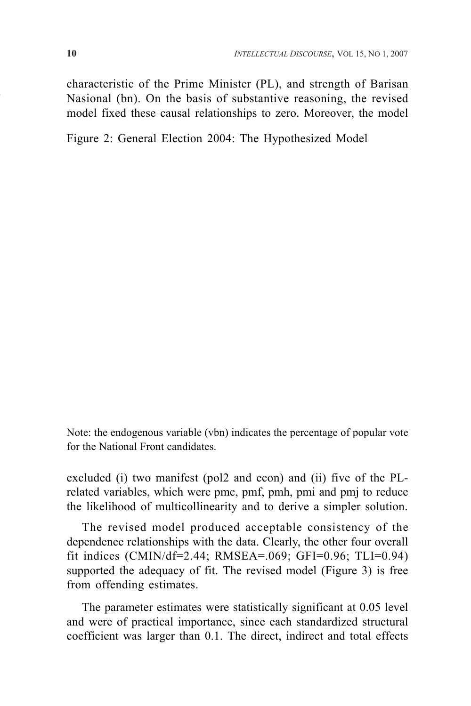characteristic of the Prime Minister (PL), and strength of Barisan Nasional (bn). On the basis of substantive reasoning, the revised model fixed these causal relationships to zero. Moreover, the model

Figure 2: General Election 2004: The Hypothesized Model

Note: the endogenous variable (vbn) indicates the percentage of popular vote for the National Front candidates.

excluded (i) two manifest (pol2 and econ) and (ii) five of the PLrelated variables, which were pmc, pmf, pmh, pmi and pmj to reduce the likelihood of multicollinearity and to derive a simpler solution.

The revised model produced acceptable consistency of the dependence relationships with the data. Clearly, the other four overall fit indices (CMIN/df=2.44; RMSEA=.069; GFI=0.96; TLI=0.94) supported the adequacy of fit. The revised model (Figure 3) is free from offending estimates.

The parameter estimates were statistically significant at 0.05 level and were of practical importance, since each standardized structural coefficient was larger than 0.1. The direct, indirect and total effects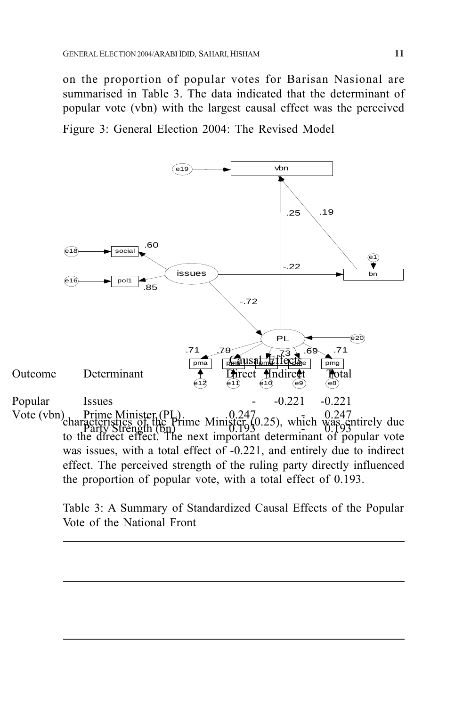on the proportion of popular votes for Barisan Nasional are summarised in Table 3. The data indicated that the determinant of popular vote (vbn) with the largest causal effect was the perceived

Figure 3: General Election 2004: The Revised Model



Table 3: A Summary of Standardized Causal Effects of the Popular Vote of the National Front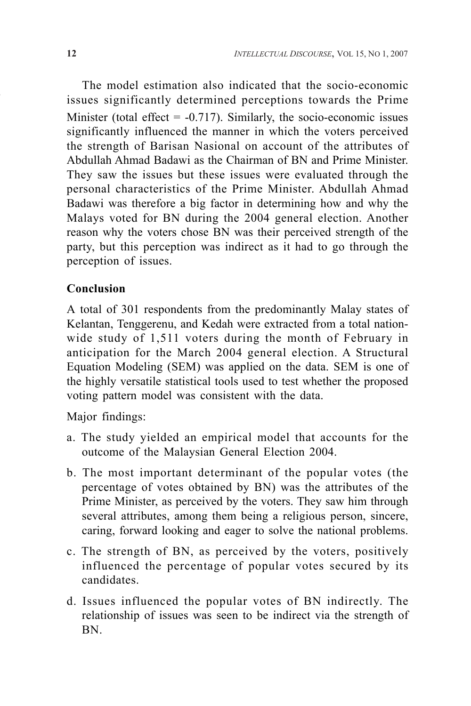The model estimation also indicated that the socio-economic issues significantly determined perceptions towards the Prime Minister (total effect  $= -0.717$ ). Similarly, the socio-economic issues significantly influenced the manner in which the voters perceived the strength of Barisan Nasional on account of the attributes of Abdullah Ahmad Badawi as the Chairman of BN and Prime Minister. They saw the issues but these issues were evaluated through the personal characteristics of the Prime Minister. Abdullah Ahmad Badawi was therefore a big factor in determining how and why the Malays voted for BN during the 2004 general election. Another reason why the voters chose BN was their perceived strength of the party, but this perception was indirect as it had to go through the perception of issues.

## **Conclusion**

A total of 301 respondents from the predominantly Malay states of Kelantan, Tenggerenu, and Kedah were extracted from a total nationwide study of 1,511 voters during the month of February in anticipation for the March 2004 general election. A Structural Equation Modeling (SEM) was applied on the data. SEM is one of the highly versatile statistical tools used to test whether the proposed voting pattern model was consistent with the data.

Major findings:

- a. The study yielded an empirical model that accounts for the outcome of the Malaysian General Election 2004.
- b. The most important determinant of the popular votes (the percentage of votes obtained by BN) was the attributes of the Prime Minister, as perceived by the voters. They saw him through several attributes, among them being a religious person, sincere, caring, forward looking and eager to solve the national problems.
- c. The strength of BN, as perceived by the voters, positively influenced the percentage of popular votes secured by its candidates.
- d. Issues influenced the popular votes of BN indirectly. The relationship of issues was seen to be indirect via the strength of BN.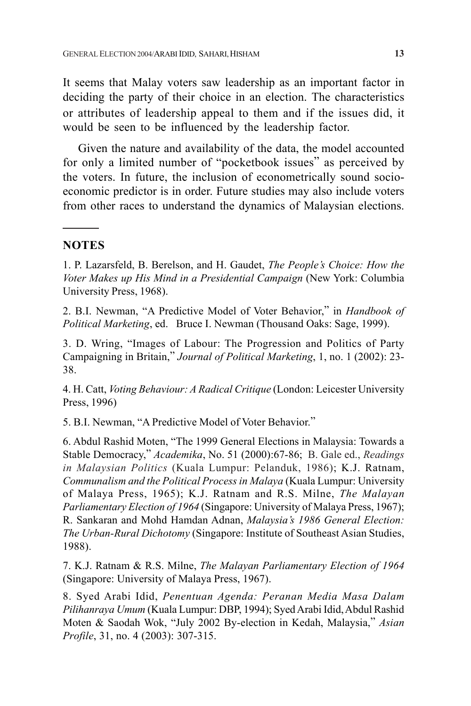It seems that Malay voters saw leadership as an important factor in deciding the party of their choice in an election. The characteristics or attributes of leadership appeal to them and if the issues did, it would be seen to be influenced by the leadership factor.

Given the nature and availability of the data, the model accounted for only a limited number of "pocketbook issues" as perceived by the voters. In future, the inclusion of econometrically sound socioeconomic predictor is in order. Future studies may also include voters from other races to understand the dynamics of Malaysian elections.

#### **NOTES**

1. P. Lazarsfeld, B. Berelson, and H. Gaudet, *The People's Choice: How the Voter Makes up His Mind in a Presidential Campaign* (New York: Columbia University Press, 1968).

2. B.I. Newman, "A Predictive Model of Voter Behavior," in *Handbook of Political Marketing*, ed. Bruce I. Newman (Thousand Oaks: Sage, 1999).

3. D. Wring, "Images of Labour: The Progression and Politics of Party Campaigning in Britain," *Journal of Political Marketing*, 1, no. 1 (2002): 23- 38.

4. H. Catt, *Voting Behaviour: A Radical Critique* (London: Leicester University Press, 1996)

5. B.I. Newman, "A Predictive Model of Voter Behavior."

6. Abdul Rashid Moten, "The 1999 General Elections in Malaysia: Towards a Stable Democracy," *Academika*, No. 51 (2000):67-86; B. Gale ed., *Readings in Malaysian Politics* (Kuala Lumpur: Pelanduk, 1986); K.J. Ratnam, *Communalism and the Political Process in Malaya* (Kuala Lumpur: University of Malaya Press, 1965); K.J. Ratnam and R.S. Milne, *The Malayan Parliamentary Election of 1964* (Singapore: University of Malaya Press, 1967); R. Sankaran and Mohd Hamdan Adnan, *Malaysia's 1986 General Election: The Urban-Rural Dichotomy* (Singapore: Institute of Southeast Asian Studies, 1988).

7. K.J. Ratnam & R.S. Milne, *The Malayan Parliamentary Election of 1964* (Singapore: University of Malaya Press, 1967).

8. Syed Arabi Idid, *Penentuan Agenda: Peranan Media Masa Dalam Pilihanraya Umum* (Kuala Lumpur: DBP, 1994); Syed Arabi Idid, Abdul Rashid Moten & Saodah Wok, "July 2002 By-election in Kedah, Malaysia," *Asian Profile*, 31, no. 4 (2003): 307-315.